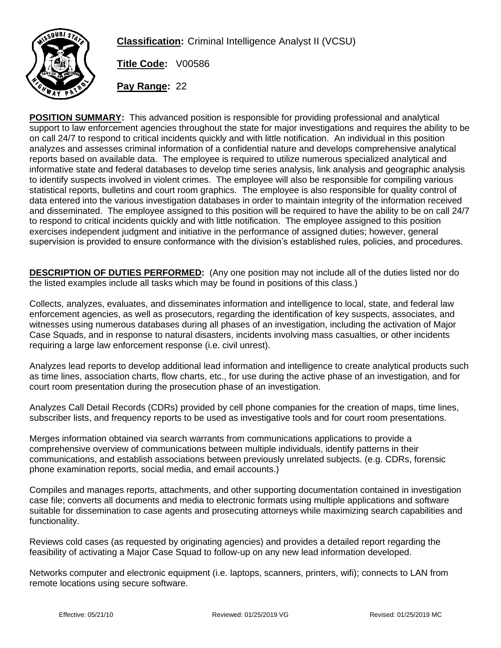

**Classification:** Criminal Intelligence Analyst II (VCSU)

**Title Code:** V00586

**Pay Range:** 22

**POSITION SUMMARY:** This advanced position is responsible for providing professional and analytical support to law enforcement agencies throughout the state for major investigations and requires the ability to be on call 24/7 to respond to critical incidents quickly and with little notification. An individual in this position analyzes and assesses criminal information of a confidential nature and develops comprehensive analytical reports based on available data. The employee is required to utilize numerous specialized analytical and informative state and federal databases to develop time series analysis, link analysis and geographic analysis to identify suspects involved in violent crimes. The employee will also be responsible for compiling various statistical reports, bulletins and court room graphics. The employee is also responsible for quality control of data entered into the various investigation databases in order to maintain integrity of the information received and disseminated. The employee assigned to this position will be required to have the ability to be on call 24/7 to respond to critical incidents quickly and with little notification. The employee assigned to this position exercises independent judgment and initiative in the performance of assigned duties; however, general supervision is provided to ensure conformance with the division's established rules, policies, and procedures.

**DESCRIPTION OF DUTIES PERFORMED:** (Any one position may not include all of the duties listed nor do the listed examples include all tasks which may be found in positions of this class.)

Collects, analyzes, evaluates, and disseminates information and intelligence to local, state, and federal law enforcement agencies, as well as prosecutors, regarding the identification of key suspects, associates, and witnesses using numerous databases during all phases of an investigation, including the activation of Major Case Squads, and in response to natural disasters, incidents involving mass casualties, or other incidents requiring a large law enforcement response (i.e. civil unrest).

Analyzes lead reports to develop additional lead information and intelligence to create analytical products such as time lines, association charts, flow charts, etc., for use during the active phase of an investigation, and for court room presentation during the prosecution phase of an investigation.

Analyzes Call Detail Records (CDRs) provided by cell phone companies for the creation of maps, time lines, subscriber lists, and frequency reports to be used as investigative tools and for court room presentations.

Merges information obtained via search warrants from communications applications to provide a comprehensive overview of communications between multiple individuals, identify patterns in their communications, and establish associations between previously unrelated subjects. (e.g. CDRs, forensic phone examination reports, social media, and email accounts.)

Compiles and manages reports, attachments, and other supporting documentation contained in investigation case file; converts all documents and media to electronic formats using multiple applications and software suitable for dissemination to case agents and prosecuting attorneys while maximizing search capabilities and functionality.

Reviews cold cases (as requested by originating agencies) and provides a detailed report regarding the feasibility of activating a Major Case Squad to follow-up on any new lead information developed.

Networks computer and electronic equipment (i.e. laptops, scanners, printers, wifi); connects to LAN from remote locations using secure software.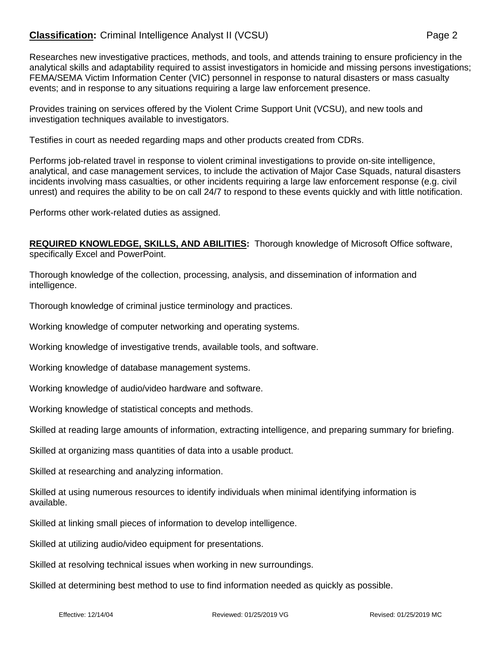# **Classification:** Criminal Intelligence Analyst II (VCSU) **Page 2** Page 2

Researches new investigative practices, methods, and tools, and attends training to ensure proficiency in the analytical skills and adaptability required to assist investigators in homicide and missing persons investigations; FEMA/SEMA Victim Information Center (VIC) personnel in response to natural disasters or mass casualty events; and in response to any situations requiring a large law enforcement presence.

Provides training on services offered by the Violent Crime Support Unit (VCSU), and new tools and investigation techniques available to investigators.

Testifies in court as needed regarding maps and other products created from CDRs.

Performs job-related travel in response to violent criminal investigations to provide on-site intelligence, analytical, and case management services, to include the activation of Major Case Squads, natural disasters incidents involving mass casualties, or other incidents requiring a large law enforcement response (e.g. civil unrest) and requires the ability to be on call 24/7 to respond to these events quickly and with little notification.

Performs other work-related duties as assigned.

**REQUIRED KNOWLEDGE, SKILLS, AND ABILITIES:** Thorough knowledge of Microsoft Office software, specifically Excel and PowerPoint.

Thorough knowledge of the collection, processing, analysis, and dissemination of information and intelligence.

Thorough knowledge of criminal justice terminology and practices.

Working knowledge of computer networking and operating systems.

Working knowledge of investigative trends, available tools, and software.

Working knowledge of database management systems.

Working knowledge of audio/video hardware and software.

Working knowledge of statistical concepts and methods.

Skilled at reading large amounts of information, extracting intelligence, and preparing summary for briefing.

Skilled at organizing mass quantities of data into a usable product.

Skilled at researching and analyzing information.

Skilled at using numerous resources to identify individuals when minimal identifying information is available.

Skilled at linking small pieces of information to develop intelligence.

Skilled at utilizing audio/video equipment for presentations.

Skilled at resolving technical issues when working in new surroundings.

Skilled at determining best method to use to find information needed as quickly as possible.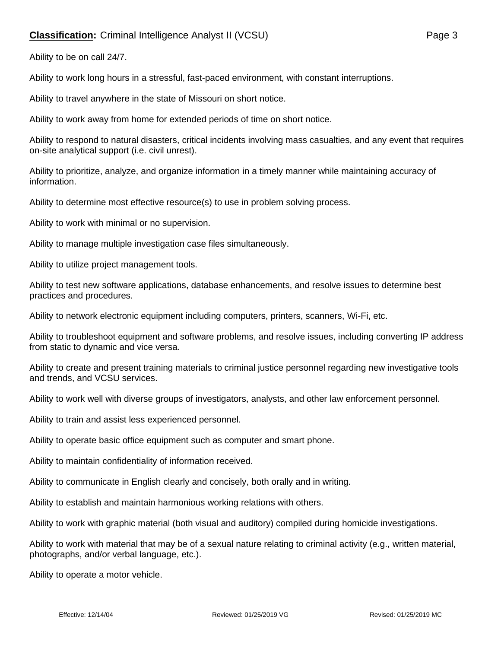# **Classification:** Criminal Intelligence Analyst II (VCSU) **Page 3** Page 3

Ability to be on call 24/7.

Ability to work long hours in a stressful, fast-paced environment, with constant interruptions.

Ability to travel anywhere in the state of Missouri on short notice.

Ability to work away from home for extended periods of time on short notice.

Ability to respond to natural disasters, critical incidents involving mass casualties, and any event that requires on-site analytical support (i.e. civil unrest).

Ability to prioritize, analyze, and organize information in a timely manner while maintaining accuracy of information.

Ability to determine most effective resource(s) to use in problem solving process.

Ability to work with minimal or no supervision.

Ability to manage multiple investigation case files simultaneously.

Ability to utilize project management tools.

Ability to test new software applications, database enhancements, and resolve issues to determine best practices and procedures.

Ability to network electronic equipment including computers, printers, scanners, Wi-Fi, etc.

Ability to troubleshoot equipment and software problems, and resolve issues, including converting IP address from static to dynamic and vice versa.

Ability to create and present training materials to criminal justice personnel regarding new investigative tools and trends, and VCSU services.

Ability to work well with diverse groups of investigators, analysts, and other law enforcement personnel.

Ability to train and assist less experienced personnel.

Ability to operate basic office equipment such as computer and smart phone.

Ability to maintain confidentiality of information received.

Ability to communicate in English clearly and concisely, both orally and in writing.

Ability to establish and maintain harmonious working relations with others.

Ability to work with graphic material (both visual and auditory) compiled during homicide investigations.

Ability to work with material that may be of a sexual nature relating to criminal activity (e.g., written material, photographs, and/or verbal language, etc.).

Ability to operate a motor vehicle.